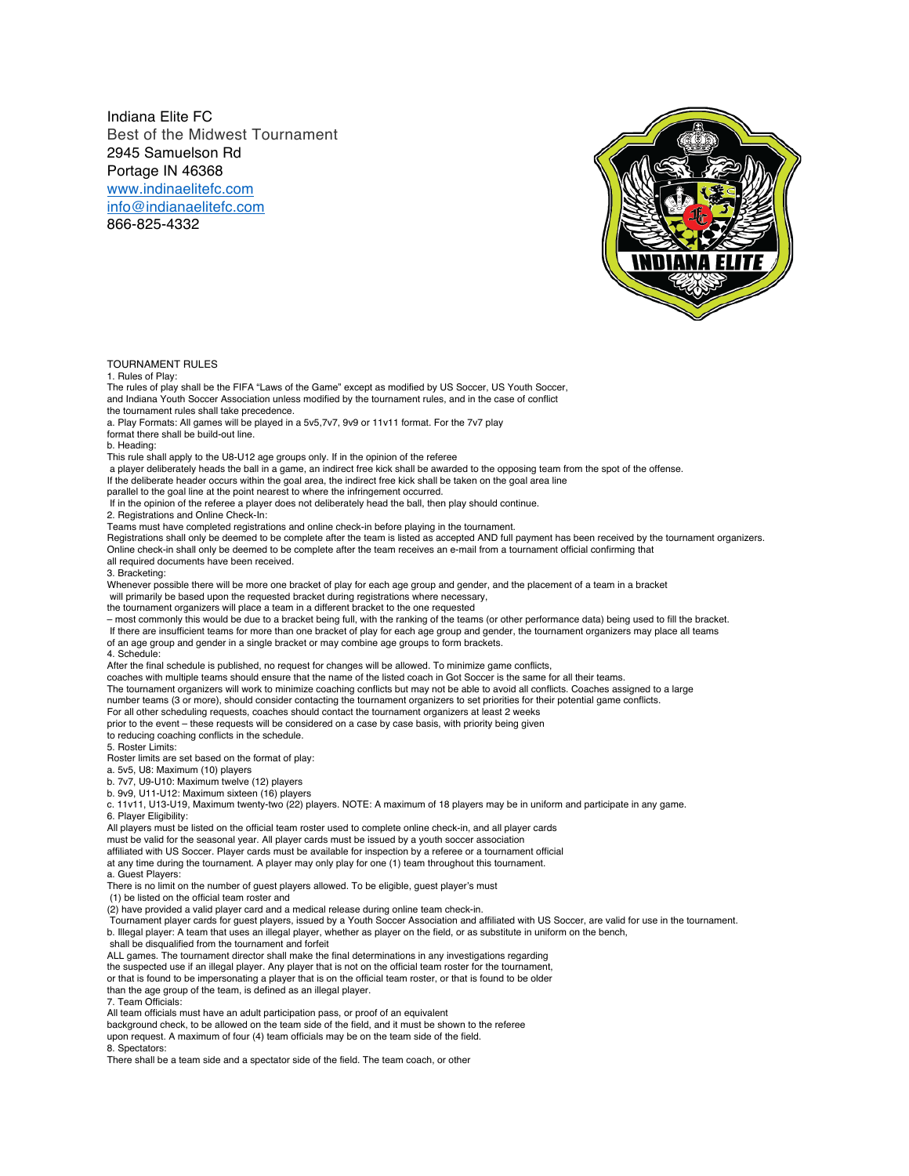Indiana Elite FC Best of the Midwest Tournament 2945 Samuelson Rd Portage IN 46368 www.indinaelitefc.com info@indianaelitefc.com 866-825-4332

TOURNAMENT RULES

1. Rules of Play:

The rules of play shall be the FIFA "Laws of the Game" except as modified by US Soccer, US Youth Soccer, and Indiana Youth Soccer Association unless modified by the tournament rules, and in the case of conflict the tournament rules shall take precedence.

a. Play Formats: All games will be played in a 5v5,7v7, 9v9 or 11v11 format. For the 7v7 play

format there shall be build-out line.

b. Heading:

This rule shall apply to the U8-U12 age groups only. If in the opinion of the referee

a player deliberately heads the ball in a game, an indirect free kick shall be awarded to the opposing team from the spot of the offense.

If the deliberate header occurs within the goal area, the indirect free kick shall be taken on the goal area line

parallel to the goal line at the point nearest to where the infringement occurred.

If in the opinion of the referee a player does not deliberately head the ball, then play should continue.

2. Registrations and Online Check-In:

Teams must have completed registrations and online check-in before playing in the tournament.

Registrations shall only be deemed to be complete after the team is listed as accepted AND full payment has been received by the tournament organizers. Online check-in shall only be deemed to be complete after the team receives an e-mail from a tournament official confirming that

all required documents have been received.

3. Bracketing:

Whenever possible there will be more one bracket of play for each age group and gender, and the placement of a team in a bracket will primarily be based upon the requested bracket during registrations where necessary,

the tournament organizers will place a team in a different bracket to the one requested

– most commonly this would be due to a bracket being full, with the ranking of the teams (or other performance data) being used to fill the bracket. If there are insufficient teams for more than one bracket of play for each age group and gender, the tournament organizers may place all teams of an age group and gender in a single bracket or may combine age groups to form brackets.

4. Schedule:

After the final schedule is published, no request for changes will be allowed. To minimize game conflicts,

coaches with multiple teams should ensure that the name of the listed coach in Got Soccer is the same for all their teams.

The tournament organizers will work to minimize coaching conflicts but may not be able to avoid all conflicts. Coaches assigned to a large

number teams (3 or more), should consider contacting the tournament organizers to set priorities for their potential game conflicts.

For all other scheduling requests, coaches should contact the tournament organizers at least 2 weeks

prior to the event – these requests will be considered on a case by case basis, with priority being given

to reducing coaching conflicts in the schedule. 5. Roster Limits:

Roster limits are set based on the format of play:

a. 5v5, U8: Maximum (10) players

b. 7v7, U9-U10: Maximum twelve (12) players

b. 9v9, U11-U12: Maximum sixteen (16) players

c. 11v11, U13-U19, Maximum twenty-two (22) players. NOTE: A maximum of 18 players may be in uniform and participate in any game. 6. Player Eligibility:

All players must be listed on the official team roster used to complete online check-in, and all player cards

must be valid for the seasonal year. All player cards must be issued by a youth soccer association

- affiliated with US Soccer. Player cards must be available for inspection by a referee or a tournament official
- at any time during the tournament. A player may only play for one (1) team throughout this tournament. a. Guest Players:

There is no limit on the number of guest players allowed. To be eligible, guest player's must (1) be listed on the official team roster and

(2) have provided a valid player card and a medical release during online team check-in. Tournament player cards for guest players, issued by a Youth Soccer Association and affiliated with US Soccer, are valid for use in the tournament. b. Illegal player: A team that uses an illegal player, whether as player on the field, or as substitute in uniform on the bench,

shall be disqualified from the tournament and forfeit

ALL games. The tournament director shall make the final determinations in any investigations regarding the suspected use if an illegal player. Any player that is not on the official team roster for the tournament,

or that is found to be impersonating a player that is on the official team roster, or that is found to be older

than the age group of the team, is defined as an illegal player.

7. Team Officials:

All team officials must have an adult participation pass, or proof of an equivalent

background check, to be allowed on the team side of the field, and it must be shown to the referee

upon request. A maximum of four (4) team officials may be on the team side of the field.

8. Spectators:

There shall be a team side and a spectator side of the field. The team coach, or other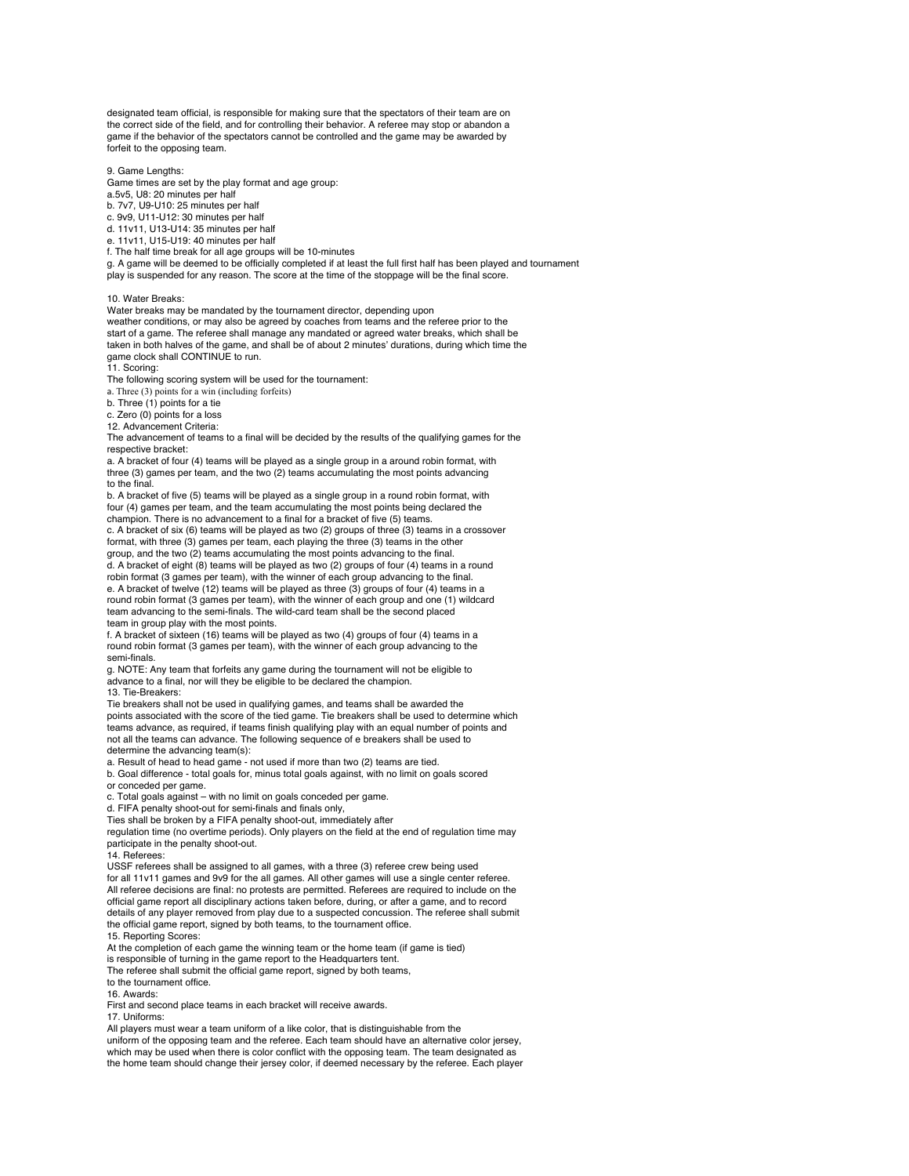designated team official, is responsible for making sure that the spectators of their team are on the correct side of the field, and for controlling their behavior. A referee may stop or abandon a game if the behavior of the spectators cannot be controlled and the game may be awarded by forfeit to the opposing team.

9. Game Lengths:

Game times are set by the play format and age group:

a.5v5, U8: 20 minutes per half

b. 7v7, U9-U10: 25 minutes per half

c. 9v9, U11-U12: 30 minutes per half d. 11v11, U13-U14: 35 minutes per half

e. 11v11, U15-U19: 40 minutes per half

f. The half time break for all age groups will be 10-minutes

g. A game will be deemed to be officially completed if at least the full first half has been played and tournament play is suspended for any reason. The score at the time of the stoppage will be the final score.

10. Water Breaks:

Water breaks may be mandated by the tournament director, depending upon weather conditions, or may also be agreed by coaches from teams and the referee prior to the

start of a game. The referee shall manage any mandated or agreed water breaks, which shall be taken in both halves of the game, and shall be of about 2 minutes' durations, during which time the game clock shall CONTINUE to run.

11. Scoring:

The following scoring system will be used for the tournament:

a. Three  $(3)$  points for a win (including forfeits)

b. Three (1) points for a tie

c. Zero (0) points for a loss

12. Advancement Criteria:

The advancement of teams to a final will be decided by the results of the qualifying games for the respective bracket:

a. A bracket of four (4) teams will be played as a single group in a around robin format, with three (3) games per team, and the two (2) teams accumulating the most points advancing to the final.

b. A bracket of five (5) teams will be played as a single group in a round robin format, with four (4) games per team, and the team accumulating the most points being declared the champion. There is no advancement to a final for a bracket of five (5) teams.

c. A bracket of six (6) teams will be played as two (2) groups of three (3) teams in a crossover format, with three (3) games per team, each playing the three (3) teams in the other group, and the two (2) teams accumulating the most points advancing to the final.

d. A bracket of eight (8) teams will be played as two (2) groups of four (4) teams in a round robin format (3 games per team), with the winner of each group advancing to the final. e. A bracket of twelve (12) teams will be played as three (3) groups of four (4) teams in a round robin format (3 games per team), with the winner of each group and one (1) wildcard team advancing to the semi-finals. The wild-card team shall be the second placed team in group play with the most points.

f. A bracket of sixteen (16) teams will be played as two (4) groups of four (4) teams in a round robin format (3 games per team), with the winner of each group advancing to the semi-finals.

g. NOTE: Any team that forfeits any game during the tournament will not be eligible to advance to a final, nor will they be eligible to be declared the champion. 13. Tie-Breakers:

Tie breakers shall not be used in qualifying games, and teams shall be awarded the points associated with the score of the tied game. Tie breakers shall be used to determine which teams advance, as required, if teams finish qualifying play with an equal number of points and not all the teams can advance. The following sequence of e breakers shall be used to determine the advancing team(s):

a. Result of head to head game - not used if more than two (2) teams are tied.

b. Goal difference - total goals for, minus total goals against, with no limit on goals scored or conceded per game.

c. Total goals against – with no limit on goals conceded per game.

d. FIFA penalty shoot-out for semi-finals and finals only,

Ties shall be broken by a FIFA penalty shoot-out, immediately after

regulation time (no overtime periods). Only players on the field at the end of regulation time may participate in the penalty shoot-out.

## 14. Referees:

USSF referees shall be assigned to all games, with a three (3) referee crew being used for all 11v11 games and 9v9 for the all games. All other games will use a single center referee. All referee decisions are final: no protests are permitted. Referees are required to include on the official game report all disciplinary actions taken before, during, or after a game, and to record details of any player removed from play due to a suspected concussion. The referee shall submit the official game report, signed by both teams, to the tournament office. 15. Reporting Scores:

At the completion of each game the winning team or the home team (if game is tied)

is responsible of turning in the game report to the Headquarters tent.

The referee shall submit the official game report, signed by both teams,

to the tournament office.

16. Awards:

First and second place teams in each bracket will receive awards.

17. Uniforms:

All players must wear a team uniform of a like color, that is distinguishable from the uniform of the opposing team and the referee. Each team should have an alternative color jersey, which may be used when there is color conflict with the opposing team. The team designated as the home team should change their jersey color, if deemed necessary by the referee. Each player